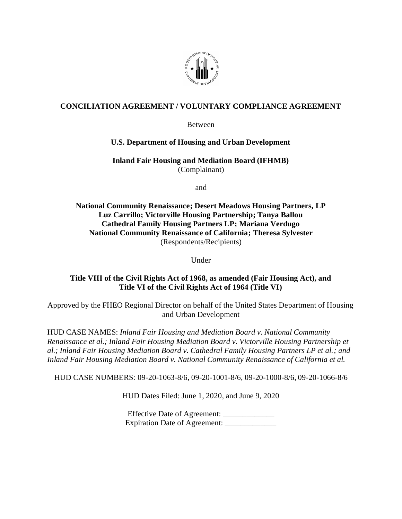

### **CONCILIATION AGREEMENT / VOLUNTARY COMPLIANCE AGREEMENT**

Between

#### **U.S. Department of Housing and Urban Development**

**Inland Fair Housing and Mediation Board (IFHMB)** (Complainant)

and

**National Community Renaissance; Desert Meadows Housing Partners, LP Luz Carrillo; Victorville Housing Partnership; Tanya Ballou Cathedral Family Housing Partners LP; Mariana Verdugo National Community Renaissance of California; Theresa Sylvester** (Respondents/Recipients)

Under

### **Title VIII of the Civil Rights Act of 1968, as amended (Fair Housing Act), and Title VI of the Civil Rights Act of 1964 (Title VI)**

Approved by the FHEO Regional Director on behalf of the United States Department of Housing and Urban Development

HUD CASE NAMES: *Inland Fair Housing and Mediation Board v. National Community Renaissance et al.; Inland Fair Housing Mediation Board v. Victorville Housing Partnership et al.; Inland Fair Housing Mediation Board v. Cathedral Family Housing Partners LP et al.; and Inland Fair Housing Mediation Board v. National Community Renaissance of California et al.*

HUD CASE NUMBERS: 09-20-1063-8/6, 09-20-1001-8/6, 09-20-1000-8/6, 09-20-1066-8/6

HUD Dates Filed: June 1, 2020, and June 9, 2020

Effective Date of Agreement: \_\_\_\_\_\_\_\_\_\_\_\_\_\_ Expiration Date of Agreement: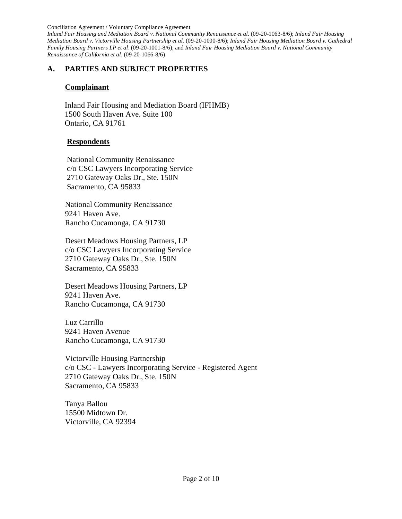Conciliation Agreement / Voluntary Compliance Agreement *Inland Fair Housing and Mediation Board v. National Community Renaissance et al.* (09-20-1063-8/6); *Inland Fair Housing Mediation Board v. Victorville Housing Partnership et al*. (09-20-1000-8/6); *Inland Fair Housing Mediation Board v. Cathedral Family Housing Partners LP et al*. (09-20-1001-8/6); and *Inland Fair Housing Mediation Board v. National Community Renaissance of California et al*. (09-20-1066-8/6)

### **A. PARTIES AND SUBJECT PROPERTIES**

#### **Complainant**

 Inland Fair Housing and Mediation Board (IFHMB) 1500 South Haven Ave. Suite 100 Ontario, CA 91761

### **Respondents**

National Community Renaissance c/o CSC Lawyers Incorporating Service 2710 Gateway Oaks Dr., Ste. 150N Sacramento, CA 95833

National Community Renaissance 9241 Haven Ave. Rancho Cucamonga, CA 91730

Desert Meadows Housing Partners, LP c/o CSC Lawyers Incorporating Service 2710 Gateway Oaks Dr., Ste. 150N Sacramento, CA 95833

Desert Meadows Housing Partners, LP 9241 Haven Ave. Rancho Cucamonga, CA 91730

Luz Carrillo 9241 Haven Avenue Rancho Cucamonga, CA 91730

Victorville Housing Partnership c/o CSC - Lawyers Incorporating Service - Registered Agent 2710 Gateway Oaks Dr., Ste. 150N Sacramento, CA 95833

Tanya Ballou 15500 Midtown Dr. Victorville, CA 92394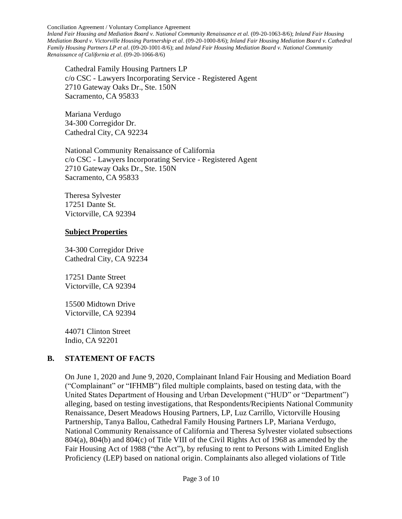*Inland Fair Housing and Mediation Board v. National Community Renaissance et al.* (09-20-1063-8/6); *Inland Fair Housing Mediation Board v. Victorville Housing Partnership et al*. (09-20-1000-8/6); *Inland Fair Housing Mediation Board v. Cathedral Family Housing Partners LP et al*. (09-20-1001-8/6); and *Inland Fair Housing Mediation Board v. National Community Renaissance of California et al*. (09-20-1066-8/6)

Cathedral Family Housing Partners LP c/o CSC - Lawyers Incorporating Service - Registered Agent 2710 Gateway Oaks Dr., Ste. 150N Sacramento, CA 95833

Mariana Verdugo 34-300 Corregidor Dr. Cathedral City, CA 92234

National Community Renaissance of California c/o CSC - Lawyers Incorporating Service - Registered Agent 2710 Gateway Oaks Dr., Ste. 150N Sacramento, CA 95833

 Theresa Sylvester 17251 Dante St. Victorville, CA 92394

#### **Subject Properties**

34-300 Corregidor Drive Cathedral City, CA 92234

17251 Dante Street Victorville, CA 92394

15500 Midtown Drive Victorville, CA 92394

44071 Clinton Street Indio, CA 92201

### **B. STATEMENT OF FACTS**

On June 1, 2020 and June 9, 2020, Complainant Inland Fair Housing and Mediation Board ("Complainant" or "IFHMB") filed multiple complaints, based on testing data, with the United States Department of Housing and Urban Development ("HUD" or "Department") alleging, based on testing investigations, that Respondents/Recipients National Community Renaissance, Desert Meadows Housing Partners, LP, Luz Carrillo, Victorville Housing Partnership, Tanya Ballou, Cathedral Family Housing Partners LP, Mariana Verdugo, National Community Renaissance of California and Theresa Sylvester violated subsections 804(a), 804(b) and 804(c) of Title VIII of the Civil Rights Act of 1968 as amended by the Fair Housing Act of 1988 ("the Act"), by refusing to rent to Persons with Limited English Proficiency (LEP) based on national origin. Complainants also alleged violations of Title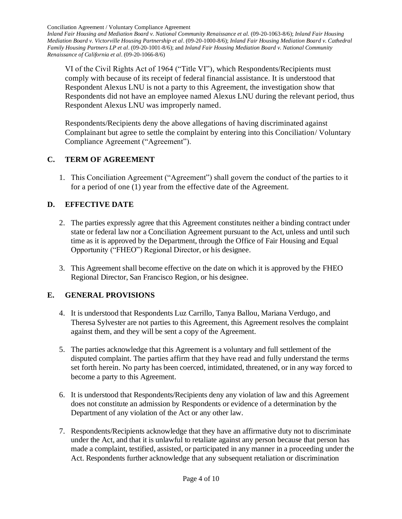*Inland Fair Housing and Mediation Board v. National Community Renaissance et al.* (09-20-1063-8/6); *Inland Fair Housing Mediation Board v. Victorville Housing Partnership et al*. (09-20-1000-8/6); *Inland Fair Housing Mediation Board v. Cathedral Family Housing Partners LP et al*. (09-20-1001-8/6); and *Inland Fair Housing Mediation Board v. National Community Renaissance of California et al*. (09-20-1066-8/6)

VI of the Civil Rights Act of 1964 ("Title VI"), which Respondents/Recipients must comply with because of its receipt of federal financial assistance. It is understood that Respondent Alexus LNU is not a party to this Agreement, the investigation show that Respondents did not have an employee named Alexus LNU during the relevant period, thus Respondent Alexus LNU was improperly named.

Respondents/Recipients deny the above allegations of having discriminated against Complainant but agree to settle the complaint by entering into this Conciliation/ Voluntary Compliance Agreement ("Agreement").

## **C. TERM OF AGREEMENT**

1. This Conciliation Agreement ("Agreement") shall govern the conduct of the parties to it for a period of one (1) year from the effective date of the Agreement.

## **D. EFFECTIVE DATE**

- 2. The parties expressly agree that this Agreement constitutes neither a binding contract under state or federal law nor a Conciliation Agreement pursuant to the Act, unless and until such time as it is approved by the Department, through the Office of Fair Housing and Equal Opportunity ("FHEO") Regional Director, or his designee.
- 3. This Agreement shall become effective on the date on which it is approved by the FHEO Regional Director, San Francisco Region, or his designee.

## **E. GENERAL PROVISIONS**

- 4. It is understood that Respondents Luz Carrillo, Tanya Ballou, Mariana Verdugo, and Theresa Sylvester are not parties to this Agreement, this Agreement resolves the complaint against them, and they will be sent a copy of the Agreement.
- 5. The parties acknowledge that this Agreement is a voluntary and full settlement of the disputed complaint. The parties affirm that they have read and fully understand the terms set forth herein. No party has been coerced, intimidated, threatened, or in any way forced to become a party to this Agreement.
- 6. It is understood that Respondents/Recipients deny any violation of law and this Agreement does not constitute an admission by Respondents or evidence of a determination by the Department of any violation of the Act or any other law.
- 7. Respondents/Recipients acknowledge that they have an affirmative duty not to discriminate under the Act, and that it is unlawful to retaliate against any person because that person has made a complaint, testified, assisted, or participated in any manner in a proceeding under the Act. Respondents further acknowledge that any subsequent retaliation or discrimination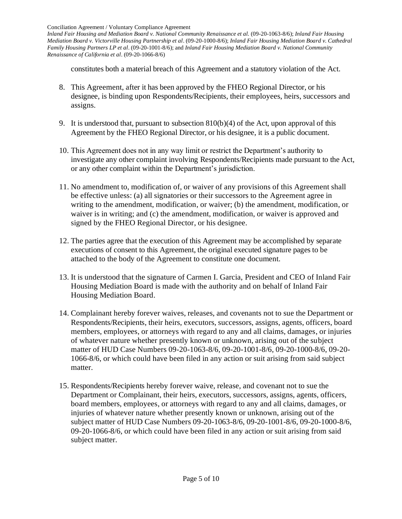*Inland Fair Housing and Mediation Board v. National Community Renaissance et al.* (09-20-1063-8/6); *Inland Fair Housing Mediation Board v. Victorville Housing Partnership et al*. (09-20-1000-8/6); *Inland Fair Housing Mediation Board v. Cathedral Family Housing Partners LP et al*. (09-20-1001-8/6); and *Inland Fair Housing Mediation Board v. National Community Renaissance of California et al*. (09-20-1066-8/6)

constitutes both a material breach of this Agreement and a statutory violation of the Act.

- 8. This Agreement, after it has been approved by the FHEO Regional Director, or his designee, is binding upon Respondents/Recipients, their employees, heirs, successors and assigns.
- 9. It is understood that, pursuant to subsection 810(b)(4) of the Act, upon approval of this Agreement by the FHEO Regional Director, or his designee, it is a public document.
- 10. This Agreement does not in any way limit or restrict the Department's authority to investigate any other complaint involving Respondents/Recipients made pursuant to the Act, or any other complaint within the Department's jurisdiction.
- 11. No amendment to, modification of, or waiver of any provisions of this Agreement shall be effective unless: (a) all signatories or their successors to the Agreement agree in writing to the amendment, modification, or waiver; (b) the amendment, modification, or waiver is in writing; and (c) the amendment, modification, or waiver is approved and signed by the FHEO Regional Director, or his designee.
- 12. The parties agree that the execution of this Agreement may be accomplished by separate executions of consent to this Agreement, the original executed signature pages to be attached to the body of the Agreement to constitute one document.
- 13. It is understood that the signature of Carmen I. Garcia, President and CEO of Inland Fair Housing Mediation Board is made with the authority and on behalf of Inland Fair Housing Mediation Board.
- 14. Complainant hereby forever waives, releases, and covenants not to sue the Department or Respondents/Recipients, their heirs, executors, successors, assigns, agents, officers, board members, employees, or attorneys with regard to any and all claims, damages, or injuries of whatever nature whether presently known or unknown, arising out of the subject matter of HUD Case Numbers 09-20-1063-8/6, 09-20-1001-8/6, 09-20-1000-8/6, 09-20- 1066-8/6, or which could have been filed in any action or suit arising from said subject matter.
- 15. Respondents/Recipients hereby forever waive, release, and covenant not to sue the Department or Complainant, their heirs, executors, successors, assigns, agents, officers, board members, employees, or attorneys with regard to any and all claims, damages, or injuries of whatever nature whether presently known or unknown, arising out of the subject matter of HUD Case Numbers 09-20-1063-8/6, 09-20-1001-8/6, 09-20-1000-8/6, 09-20-1066-8/6, or which could have been filed in any action or suit arising from said subject matter.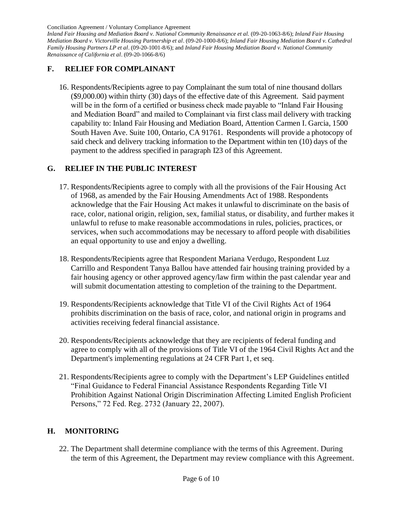*Inland Fair Housing and Mediation Board v. National Community Renaissance et al.* (09-20-1063-8/6); *Inland Fair Housing Mediation Board v. Victorville Housing Partnership et al*. (09-20-1000-8/6); *Inland Fair Housing Mediation Board v. Cathedral Family Housing Partners LP et al*. (09-20-1001-8/6); and *Inland Fair Housing Mediation Board v. National Community Renaissance of California et al*. (09-20-1066-8/6)

### **F. RELIEF FOR COMPLAINANT**

16. Respondents/Recipients agree to pay Complainant the sum total of nine thousand dollars (\$9,000.00) within thirty (30) days of the effective date of this Agreement. Said payment will be in the form of a certified or business check made payable to "Inland Fair Housing and Mediation Board" and mailed to Complainant via first class mail delivery with tracking capability to: Inland Fair Housing and Mediation Board, Attention Carmen I. Garcia, 1500 South Haven Ave. Suite 100, Ontario, CA 91761. Respondents will provide a photocopy of said check and delivery tracking information to the Department within ten (10) days of the payment to the address specified in paragraph I23 of this Agreement.

### **G. RELIEF IN THE PUBLIC INTEREST**

- 17. Respondents/Recipients agree to comply with all the provisions of the Fair Housing Act of 1968, as amended by the Fair Housing Amendments Act of 1988. Respondents acknowledge that the Fair Housing Act makes it unlawful to discriminate on the basis of race, color, national origin, religion, sex, familial status, or disability, and further makes it unlawful to refuse to make reasonable accommodations in rules, policies, practices, or services, when such accommodations may be necessary to afford people with disabilities an equal opportunity to use and enjoy a dwelling.
- 18. Respondents/Recipients agree that Respondent Mariana Verdugo, Respondent Luz Carrillo and Respondent Tanya Ballou have attended fair housing training provided by a fair housing agency or other approved agency/law firm within the past calendar year and will submit documentation attesting to completion of the training to the Department.
- 19. Respondents/Recipients acknowledge that Title VI of the Civil Rights Act of 1964 prohibits discrimination on the basis of race, color, and national origin in programs and activities receiving federal financial assistance.
- 20. Respondents/Recipients acknowledge that they are recipients of federal funding and agree to comply with all of the provisions of Title VI of the 1964 Civil Rights Act and the Department's implementing regulations at 24 CFR Part 1, et seq.
- 21. Respondents/Recipients agree to comply with the Department's LEP Guidelines entitled "Final Guidance to Federal Financial Assistance Respondents Regarding Title VI Prohibition Against National Origin Discrimination Affecting Limited English Proficient Persons," 72 Fed. Reg. 2732 (January 22, 2007).

### **H. MONITORING**

22. The Department shall determine compliance with the terms of this Agreement. During the term of this Agreement, the Department may review compliance with this Agreement.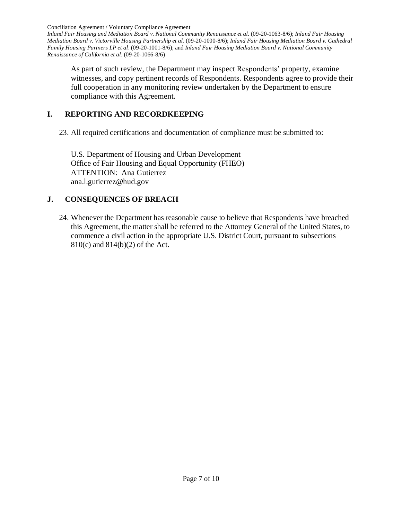*Inland Fair Housing and Mediation Board v. National Community Renaissance et al.* (09-20-1063-8/6); *Inland Fair Housing Mediation Board v. Victorville Housing Partnership et al*. (09-20-1000-8/6); *Inland Fair Housing Mediation Board v. Cathedral Family Housing Partners LP et al*. (09-20-1001-8/6); and *Inland Fair Housing Mediation Board v. National Community Renaissance of California et al*. (09-20-1066-8/6)

As part of such review, the Department may inspect Respondents' property, examine witnesses, and copy pertinent records of Respondents. Respondents agree to provide their full cooperation in any monitoring review undertaken by the Department to ensure compliance with this Agreement.

## **I. REPORTING AND RECORDKEEPING**

23. All required certifications and documentation of compliance must be submitted to:

U.S. Department of Housing and Urban Development Office of Fair Housing and Equal Opportunity (FHEO) ATTENTION: Ana Gutierrez ana.l.gutierrez@hud.gov

# **J. CONSEQUENCES OF BREACH**

24. Whenever the Department has reasonable cause to believe that Respondents have breached this Agreement, the matter shall be referred to the Attorney General of the United States, to commence a civil action in the appropriate U.S. District Court, pursuant to subsections 810(c) and 814(b)(2) of the Act.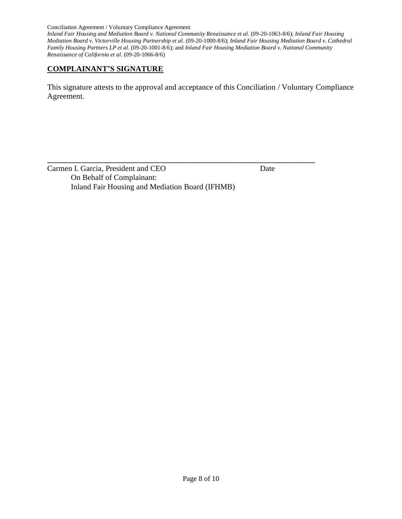*Inland Fair Housing and Mediation Board v. National Community Renaissance et al.* (09-20-1063-8/6); *Inland Fair Housing Mediation Board v. Victorville Housing Partnership et al*. (09-20-1000-8/6); *Inland Fair Housing Mediation Board v. Cathedral Family Housing Partners LP et al*. (09-20-1001-8/6); and *Inland Fair Housing Mediation Board v. National Community Renaissance of California et al*. (09-20-1066-8/6)

### **COMPLAINANT'S SIGNATURE**

This signature attests to the approval and acceptance of this Conciliation / Voluntary Compliance Agreement.

| Carmen I. Garcia, President and CEO             | Date |  |
|-------------------------------------------------|------|--|
| On Behalf of Complainant:                       |      |  |
| Inland Fair Housing and Mediation Board (IFHMB) |      |  |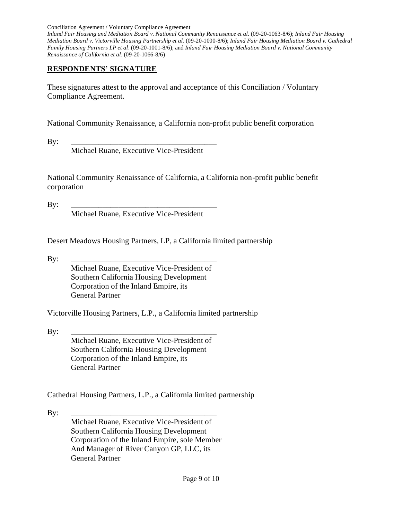*Inland Fair Housing and Mediation Board v. National Community Renaissance et al.* (09-20-1063-8/6); *Inland Fair Housing Mediation Board v. Victorville Housing Partnership et al*. (09-20-1000-8/6); *Inland Fair Housing Mediation Board v. Cathedral Family Housing Partners LP et al*. (09-20-1001-8/6); and *Inland Fair Housing Mediation Board v. National Community Renaissance of California et al*. (09-20-1066-8/6)

### **RESPONDENTS' SIGNATURE**

These signatures attest to the approval and acceptance of this Conciliation / Voluntary Compliance Agreement.

National Community Renaissance, a California non-profit public benefit corporation

By: \_\_\_\_\_\_\_\_\_\_\_\_\_\_\_\_\_\_\_\_\_\_\_\_\_\_\_\_\_\_\_\_\_\_\_\_\_

Michael Ruane, Executive Vice-President

National Community Renaissance of California, a California non-profit public benefit corporation

By: \_\_\_\_\_\_\_\_\_\_\_\_\_\_\_\_\_\_\_\_\_\_\_\_\_\_\_\_\_\_\_\_\_\_\_\_\_

Michael Ruane, Executive Vice-President

Desert Meadows Housing Partners, LP, a California limited partnership

By: \_\_\_\_\_\_\_\_\_\_\_\_\_\_\_\_\_\_\_\_\_\_\_\_\_\_\_\_\_\_\_\_\_\_\_\_\_

Michael Ruane, Executive Vice-President of Southern California Housing Development Corporation of the Inland Empire, its General Partner

Victorville Housing Partners, L.P., a California limited partnership

By: \_\_\_\_\_\_\_\_\_\_\_\_\_\_\_\_\_\_\_\_\_\_\_\_\_\_\_\_\_\_\_\_\_\_\_\_\_

Michael Ruane, Executive Vice-President of Southern California Housing Development Corporation of the Inland Empire, its General Partner

Cathedral Housing Partners, L.P., a California limited partnership

By: \_\_\_\_\_\_\_\_\_\_\_\_\_\_\_\_\_\_\_\_\_\_\_\_\_\_\_\_\_\_\_\_\_\_\_\_\_ Michael Ruane, Executive Vice-President of Southern California Housing Development Corporation of the Inland Empire, sole Member And Manager of River Canyon GP, LLC, its General Partner